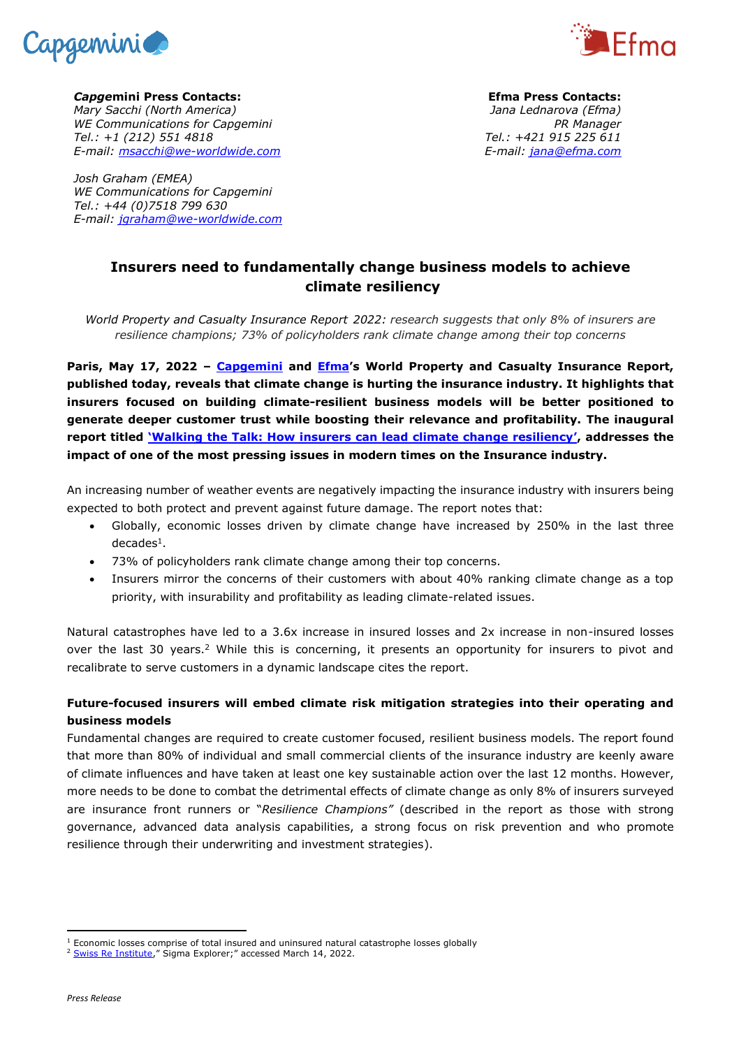



*Capge***mini Press Contacts:** *Mary Sacchi (North America) WE Communications for Capgemini Tel.: +1 (212) 551 4818 E-mail: [msacchi@we-worldwide.com](mailto:msacchi@we-worldwide.com)*

*Josh Graham (EMEA) WE Communications for Capgemini Tel.: +44 (0)7518 799 630 E-mail: [jgraham@we-worldwide.com](mailto:jgraham@we-worldwide.com)*

**Efma Press Contacts:** *Jana Lednarova (Efma) PR Manager Tel.: +421 915 225 611 E-mail: [jana@efma.com](mailto:jana@efma.com)*

# **Insurers need to fundamentally change business models to achieve climate resiliency**

*World Property and Casualty Insurance Report 2022: research suggests that only 8% of insurers are resilience champions; 73% of policyholders rank climate change among their top concerns*

**Paris, May 17, 2022 – [Capgemini](https://www.capgemini.com/) and [Efma](https://www.efma.com/)'s World Property and Casualty Insurance Report, published today, reveals that climate change is hurting the insurance industry. It highlights that insurers focused on building climate-resilient business models will be better positioned to generate deeper customer trust while boosting their relevance and profitability. The inaugural report titled '[Walking the Talk: How insurers can lead climate change resiliency](http://www.worldinsurancereport.com/)', addresses the impact of one of the most pressing issues in modern times on the Insurance industry.**

An increasing number of weather events are negatively impacting the insurance industry with insurers being expected to both protect and prevent against future damage. The report notes that:

- Globally, economic losses driven by climate change have increased by 250% in the last three decades<sup>1</sup>.
- 73% of policyholders rank climate change among their top concerns.
- Insurers mirror the concerns of their customers with about 40% ranking climate change as a top priority, with insurability and profitability as leading climate-related issues.

Natural catastrophes have led to a 3.6x increase in insured losses and 2x increase in non-insured losses over the last 30 years.<sup>2</sup> While this is concerning, it presents an opportunity for insurers to pivot and recalibrate to serve customers in a dynamic landscape cites the report.

# **Future-focused insurers will embed climate risk mitigation strategies into their operating and business models**

Fundamental changes are required to create customer focused, resilient business models. The report found that more than 80% of individual and small commercial clients of the insurance industry are keenly aware of climate influences and have taken at least one key sustainable action over the last 12 months. However, more needs to be done to combat the detrimental effects of climate change as only 8% of insurers surveyed are insurance front runners or "*Resilience Champions"* (described in the report as those with strong governance, advanced data analysis capabilities, a strong focus on risk prevention and who promote resilience through their underwriting and investment strategies).

<sup>&</sup>lt;sup>1</sup> Economic losses comprise of total insured and uninsured natural catastrophe losses globally

<sup>&</sup>lt;sup>2</sup> [Swiss Re Institute](https://www.sigma-explorer.com/)," Sigma Explorer;" accessed March 14, 2022.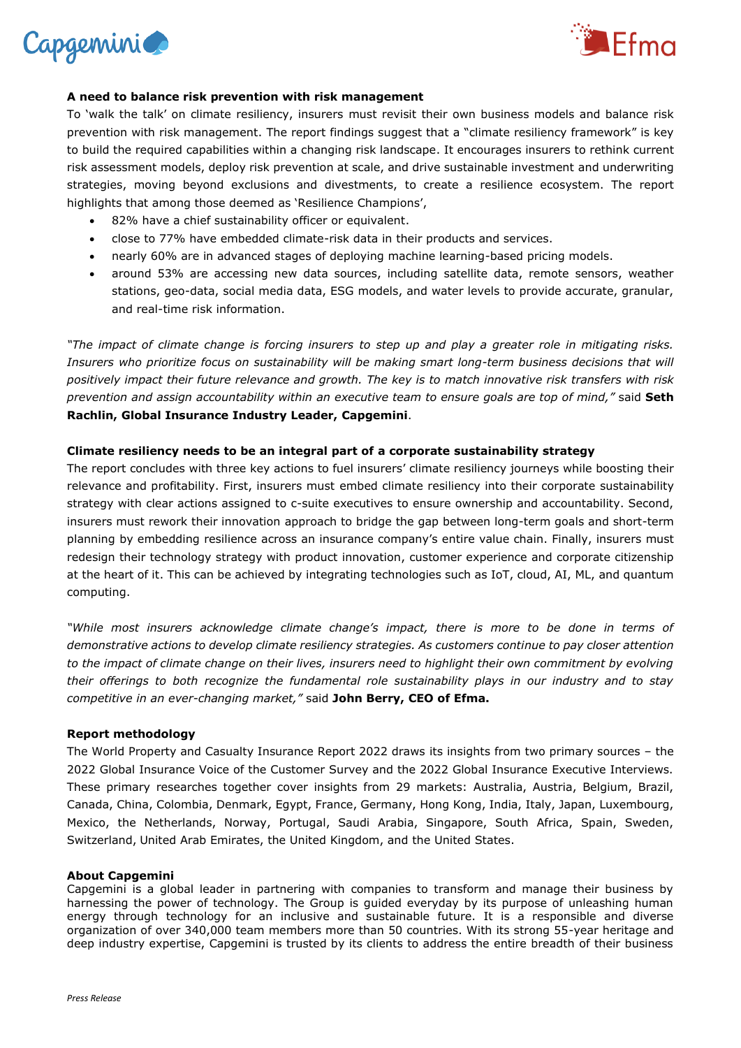



## **A need to balance risk prevention with risk management**

To 'walk the talk' on climate resiliency, insurers must revisit their own business models and balance risk prevention with risk management. The report findings suggest that a "climate resiliency framework" is key to build the required capabilities within a changing risk landscape. It encourages insurers to rethink current risk assessment models, deploy risk prevention at scale, and drive sustainable investment and underwriting strategies, moving beyond exclusions and divestments, to create a resilience ecosystem. The report highlights that among those deemed as 'Resilience Champions',

- 82% have a chief sustainability officer or equivalent.
- close to 77% have embedded climate-risk data in their products and services.
- nearly 60% are in advanced stages of deploying machine learning-based pricing models.
- around 53% are accessing new data sources, including satellite data, remote sensors, weather stations, geo-data, social media data, ESG models, and water levels to provide accurate, granular, and real-time risk information.

*"The impact of climate change is forcing insurers to step up and play a greater role in mitigating risks. Insurers who prioritize focus on sustainability will be making smart long-term business decisions that will positively impact their future relevance and growth. The key is to match innovative risk transfers with risk prevention and assign accountability within an executive team to ensure goals are top of mind,"* said **Seth Rachlin, Global Insurance Industry Leader, Capgemini**.

### **Climate resiliency needs to be an integral part of a corporate sustainability strategy**

The report concludes with three key actions to fuel insurers' climate resiliency journeys while boosting their relevance and profitability. First, insurers must embed climate resiliency into their corporate sustainability strategy with clear actions assigned to c-suite executives to ensure ownership and accountability. Second, insurers must rework their innovation approach to bridge the gap between long-term goals and short-term planning by embedding resilience across an insurance company's entire value chain. Finally, insurers must redesign their technology strategy with product innovation, customer experience and corporate citizenship at the heart of it. This can be achieved by integrating technologies such as IoT, cloud, AI, ML, and quantum computing.

*"While most insurers acknowledge climate change's impact, there is more to be done in terms of demonstrative actions to develop climate resiliency strategies. As customers continue to pay closer attention to the impact of climate change on their lives, insurers need to highlight their own commitment by evolving their offerings to both recognize the fundamental role sustainability plays in our industry and to stay competitive in an ever-changing market,"* said **John Berry, CEO of Efma.**

### **Report methodology**

The World Property and Casualty Insurance Report 2022 draws its insights from two primary sources – the 2022 Global Insurance Voice of the Customer Survey and the 2022 Global Insurance Executive Interviews. These primary researches together cover insights from 29 markets: Australia, Austria, Belgium, Brazil, Canada, China, Colombia, Denmark, Egypt, France, Germany, Hong Kong, India, Italy, Japan, Luxembourg, Mexico, the Netherlands, Norway, Portugal, Saudi Arabia, Singapore, South Africa, Spain, Sweden, Switzerland, United Arab Emirates, the United Kingdom, and the United States.

#### **About Capgemini**

Capgemini is a global leader in partnering with companies to transform and manage their business by harnessing the power of technology. The Group is guided everyday by its purpose of unleashing human energy through technology for an inclusive and sustainable future. It is a responsible and diverse organization of over 340,000 team members more than 50 countries. With its strong 55-year heritage and deep industry expertise, Capgemini is trusted by its clients to address the entire breadth of their business